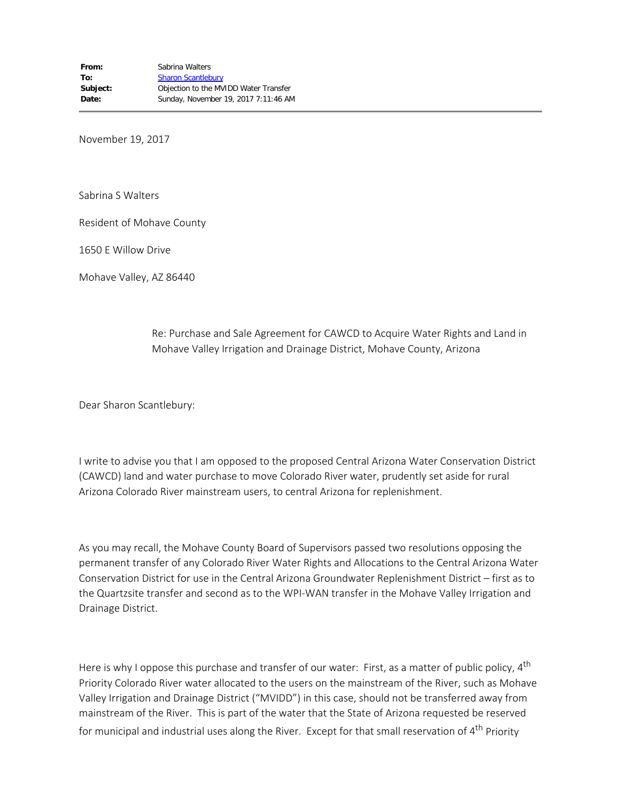November 19, 2017

Sabrina S Walters

Resident of Mohave County

1650 E Willow Drive

Mohave Valley, AZ 86440

Re: Purchase and Sale Agreement for CAWCD to Acquire Water Rights and Land in Mohave Valley Irrigation and Drainage District, Mohave County, Arizona

Dear Sharon Scantlebury:

I write to advise you that I am opposed to the proposed Central Arizona Water Conservation District (CAWCD) land and water purchase to move Colorado River water, prudently set aside for rural Arizona Colorado River mainstream users, to central Arizona for replenishment.

As you may recall, the Mohave County Board of Supervisors passed two resolutions opposing the permanent transfer of any Colorado River Water Rights and Allocations to the Central Arizona Water Conservation District for use in the Central Arizona Groundwater Replenishment District – first as to the Quartzsite transfer and second as to the WPI-WAN transfer in the Mohave Valley Irrigation and Drainage District.

Here is why I oppose this purchase and transfer of our water: First, as a matter of public policy,  $4<sup>th</sup>$ Priority Colorado River water allocated to the users on the mainstream of the River, such as Mohave Valley Irrigation and Drainage District ("MVIDD") in this case, should not be transferred away from mainstream of the River. This is part of the water that the State of Arizona requested be reserved for municipal and industrial uses along the River. Except for that small reservation of  $4<sup>th</sup>$  Priority